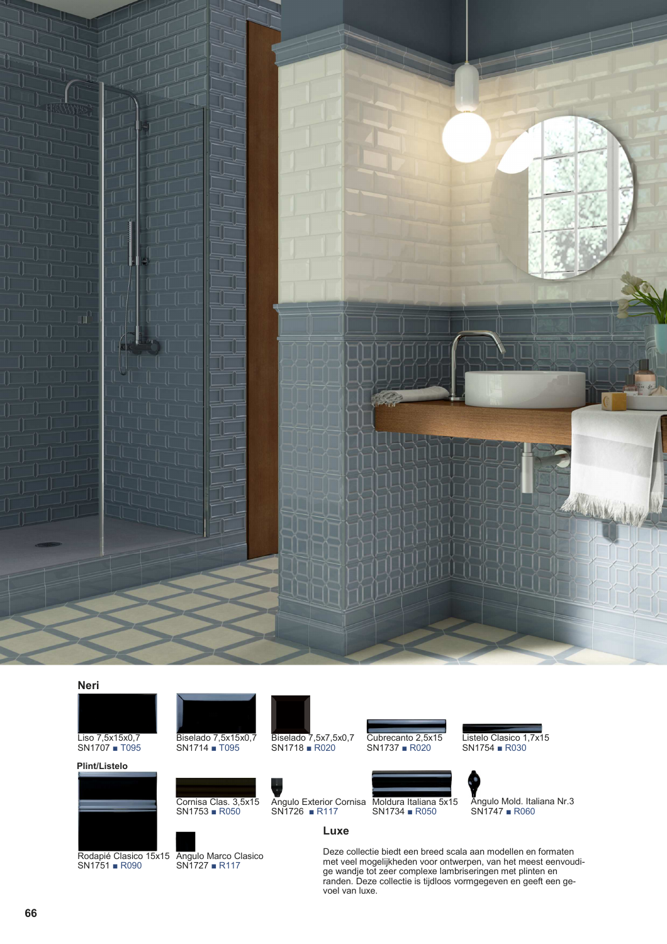

## **Neri**

Liso 7,5x15x0,7 SN1707 ■ T095

**Plint/Listelo**



Rodapié Clasico 15x15 Angulo Marco Clasico SN1751 ■ R090 SN1727 ■ R117



SN1714 ■ T095

Cornisa Clas. 3,5x15 SN1753 ■ R050

Biselado 7,5x7,5x0,7 SN1718 ■ R020

SN1726 ■ R117

**Luxe**

Cubrecanto 2,5x15 SN1737 ■ R020

Listelo Clasico 1,7x15 SN1754 ■ R030





SN1747 ■ R060

Deze collectie biedt een breed scala aan modellen en formaten met veel mogelijkheden voor ontwerpen, van het meest eenvoudige wandje tot zeer complexe lambriseringen met plinten en randen. Deze collectie is tijdloos vormgegeven en geeft een gevoel van luxe.